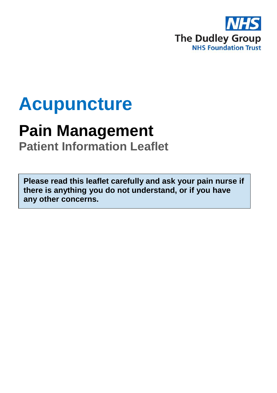

# **Acupuncture**

## **Pain Management**

**Patient Information Leaflet**

**Please read this leaflet carefully and ask your pain nurse if there is anything you do not understand, or if you have any other concerns.**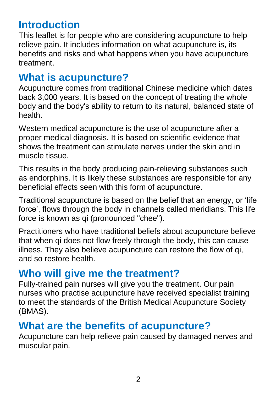## **Introduction**

This leaflet is for people who are considering acupuncture to help relieve pain. It includes information on what acupuncture is, its benefits and risks and what happens when you have acupuncture treatment.

#### **What is acupuncture?**

Acupuncture comes from traditional Chinese medicine which dates back 3,000 years. It is based on the concept of treating the whole body and the body's ability to return to its natural, balanced state of health.

Western medical acupuncture is the use of acupuncture after a proper medical diagnosis. It is based on scientific evidence that shows the treatment can stimulate nerves under the skin and in muscle tissue.

This results in the body producing pain-relieving substances such as endorphins. It is likely these substances are responsible for any beneficial effects seen with this form of acupuncture.

Traditional acupuncture is based on the belief that an energy, or 'life force', flows through the body in channels called meridians. This life force is known as qi (pronounced "chee").

Practitioners who have traditional beliefs about acupuncture believe that when qi does not flow freely through the body, this can cause illness. They also believe acupuncture can restore the flow of qi, and so restore health.

## **Who will give me the treatment?**

Fully-trained pain nurses will give you the treatment. Our pain nurses who practise acupuncture have received specialist training to meet the standards of the British Medical Acupuncture Society (BMAS).

#### **What are the benefits of acupuncture?**

Acupuncture can help relieve pain caused by damaged nerves and muscular pain.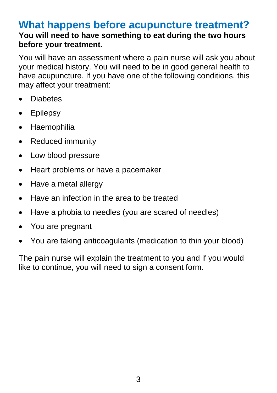#### **What happens before acupuncture treatment? You will need to have something to eat during the two hours before your treatment.**

You will have an assessment where a pain nurse will ask you about your medical history. You will need to be in good general health to have acupuncture. If you have one of the following conditions, this may affect your treatment:

- Diabetes
- Epilepsy
- **Haemophilia**
- Reduced immunity
- Low blood pressure
- Heart problems or have a pacemaker
- Have a metal allergy
- Have an infection in the area to be treated
- Have a phobia to needles (you are scared of needles)
- You are pregnant
- You are taking anticoagulants (medication to thin your blood)

The pain nurse will explain the treatment to you and if you would like to continue, you will need to sign a consent form.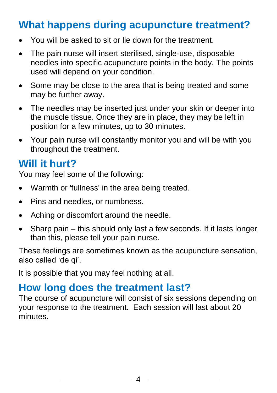## **What happens during acupuncture treatment?**

- You will be asked to sit or lie down for the treatment.
- The pain nurse will insert sterilised, single-use, disposable needles into specific acupuncture points in the body. The points used will depend on your condition.
- Some may be close to the area that is being treated and some may be further away.
- The needles may be inserted just under your skin or deeper into the muscle tissue. Once they are in place, they may be left in position for a few minutes, up to 30 minutes.
- Your pain nurse will constantly monitor you and will be with you throughout the treatment.

#### **Will it hurt?**

You may feel some of the following:

- Warmth or 'fullness' in the area being treated.
- Pins and needles, or numbness.
- Aching or discomfort around the needle.
- Sharp pain this should only last a few seconds. If it lasts longer than this, please tell your pain nurse.

These feelings are sometimes known as the acupuncture sensation, also called 'de qi'.

It is possible that you may feel nothing at all.

#### **How long does the treatment last?**

The course of acupuncture will consist of six sessions depending on your response to the treatment. Each session will last about 20 minutes.

4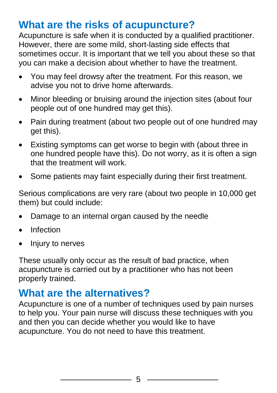## **What are the risks of acupuncture?**

Acupuncture is safe when it is conducted by a qualified practitioner. However, there are some mild, short-lasting side effects that sometimes occur. It is important that we tell you about these so that you can make a decision about whether to have the treatment.

- You may feel drowsy after the treatment. For this reason, we advise you not to drive home afterwards.
- Minor bleeding or bruising around the injection sites (about four people out of one hundred may get this).
- Pain during treatment (about two people out of one hundred may get this).
- Existing symptoms can get worse to begin with (about three in one hundred people have this). Do not worry, as it is often a sign that the treatment will work.
- Some patients may faint especially during their first treatment.

Serious complications are very rare (about two people in 10,000 get them) but could include:

- Damage to an internal organ caused by the needle
- Infection
- Injury to nerves

These usually only occur as the result of bad practice, when acupuncture is carried out by a practitioner who has not been properly trained.

#### **What are the alternatives?**

Acupuncture is one of a number of techniques used by pain nurses to help you. Your pain nurse will discuss these techniques with you and then you can decide whether you would like to have acupuncture. You do not need to have this treatment.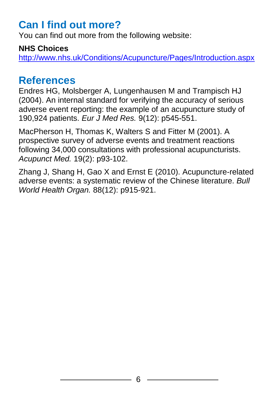### **Can I find out more?**

You can find out more from the following website:

#### **NHS Choices**

<http://www.nhs.uk/Conditions/Acupuncture/Pages/Introduction.aspx>

#### **References**

Endres HG, Molsberger A, Lungenhausen M and Trampisch HJ (2004). An internal standard for verifying the accuracy of serious adverse event reporting: the example of an acupuncture study of 190,924 patients. *Eur J Med Res.* 9(12): p545-551.

MacPherson H, Thomas K, Walters S and Fitter M (2001). A prospective survey of adverse events and treatment reactions following 34,000 consultations with professional acupuncturists. *Acupunct Med.* 19(2): p93-102.

Zhang J, Shang H, Gao X and Ernst E (2010). Acupuncture-related adverse events: a systematic review of the Chinese literature. *Bull World Health Organ.* 88(12): p915-921.